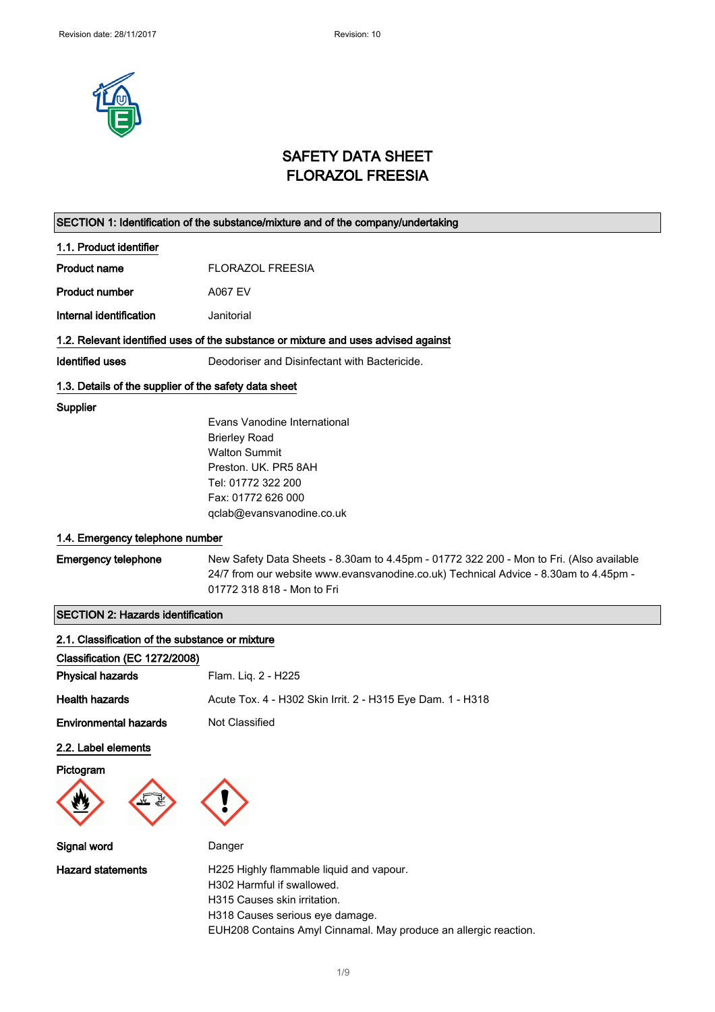

### SAFETY DATA SHEET FLORAZOL FREESIA

|                                                       | SECTION 1: Identification of the substance/mixture and of the company/undertaking       |
|-------------------------------------------------------|-----------------------------------------------------------------------------------------|
| 1.1. Product identifier                               |                                                                                         |
| <b>Product name</b>                                   | <b>FLORAZOL FREESIA</b>                                                                 |
| <b>Product number</b>                                 | <b>A067 EV</b>                                                                          |
| Internal identification                               | Janitorial                                                                              |
|                                                       | 1.2. Relevant identified uses of the substance or mixture and uses advised against      |
| <b>Identified uses</b>                                | Deodoriser and Disinfectant with Bactericide.                                           |
| 1.3. Details of the supplier of the safety data sheet |                                                                                         |
| Supplier                                              |                                                                                         |
|                                                       | Evans Vanodine International                                                            |
|                                                       | <b>Brierley Road</b><br><b>Walton Summit</b>                                            |
|                                                       | Preston, UK. PR5 8AH                                                                    |
|                                                       | Tel: 01772 322 200                                                                      |
|                                                       | Fax: 01772 626 000                                                                      |
|                                                       | qclab@evansvanodine.co.uk                                                               |
| 1.4. Emergency telephone number                       |                                                                                         |
| <b>Emergency telephone</b>                            | New Safety Data Sheets - 8.30am to 4.45pm - 01772 322 200 - Mon to Fri. (Also available |
|                                                       | 24/7 from our website www.evansvanodine.co.uk) Technical Advice - 8.30am to 4.45pm -    |
|                                                       | 01772 318 818 - Mon to Fri                                                              |
| <b>SECTION 2: Hazards identification</b>              |                                                                                         |
| 2.1. Classification of the substance or mixture       |                                                                                         |
| Classification (EC 1272/2008)                         |                                                                                         |
| <b>Physical hazards</b>                               | Flam. Liq. 2 - H225                                                                     |
| <b>Health hazards</b>                                 | Acute Tox. 4 - H302 Skin Irrit. 2 - H315 Eye Dam. 1 - H318                              |
| <b>Environmental hazards</b>                          | Not Classified                                                                          |
| 2.2. Label elements                                   |                                                                                         |
| Pictogram                                             |                                                                                         |
|                                                       |                                                                                         |
|                                                       |                                                                                         |
| Signal word                                           | Danger                                                                                  |
| <b>Hazard statements</b>                              | H225 Highly flammable liquid and vapour.                                                |
|                                                       | H302 Harmful if swallowed.                                                              |
|                                                       | H315 Causes skin irritation.                                                            |
|                                                       | H318 Causes serious eye damage.                                                         |
|                                                       | EUH208 Contains Amyl Cinnamal. May produce an allergic reaction.                        |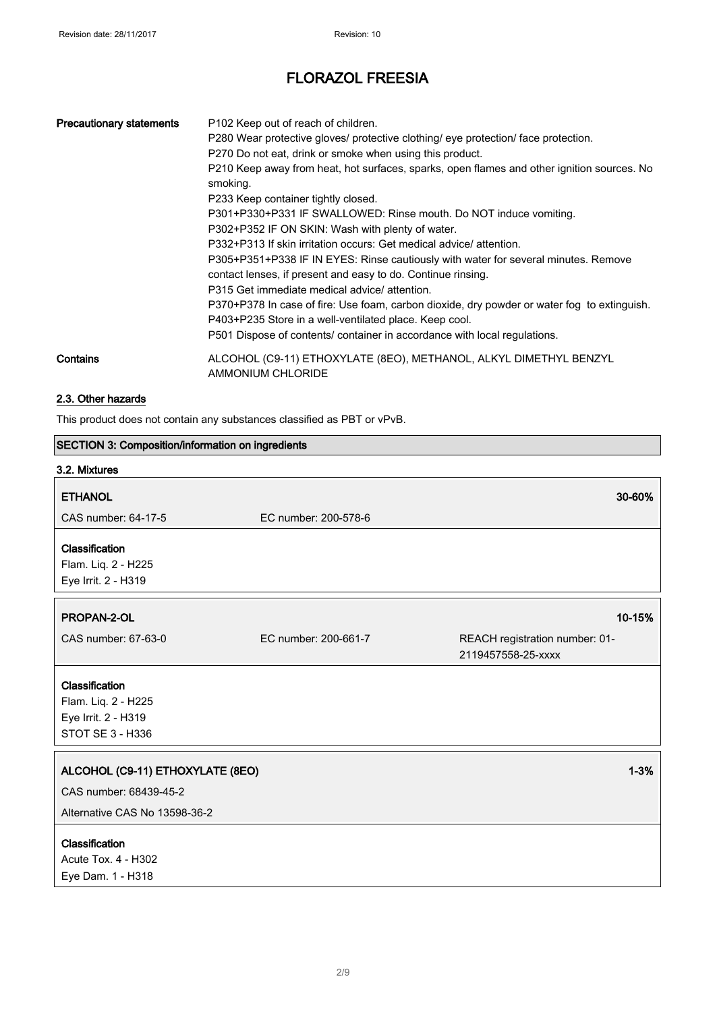| <b>Precautionary statements</b> | P <sub>102</sub> Keep out of reach of children.<br>P280 Wear protective gloves/ protective clothing/ eye protection/ face protection.<br>P270 Do not eat, drink or smoke when using this product.<br>P210 Keep away from heat, hot surfaces, sparks, open flames and other ignition sources. No<br>smoking.<br>P233 Keep container tightly closed.<br>P301+P330+P331 IF SWALLOWED: Rinse mouth. Do NOT induce vomiting.<br>P302+P352 IF ON SKIN: Wash with plenty of water.<br>P332+P313 If skin irritation occurs: Get medical advice/attention.<br>P305+P351+P338 IF IN EYES: Rinse cautiously with water for several minutes. Remove<br>contact lenses, if present and easy to do. Continue rinsing.<br>P315 Get immediate medical advice/ attention.<br>P370+P378 In case of fire: Use foam, carbon dioxide, dry powder or water fog to extinguish.<br>P403+P235 Store in a well-ventilated place. Keep cool.<br>P501 Dispose of contents/ container in accordance with local regulations. |
|---------------------------------|------------------------------------------------------------------------------------------------------------------------------------------------------------------------------------------------------------------------------------------------------------------------------------------------------------------------------------------------------------------------------------------------------------------------------------------------------------------------------------------------------------------------------------------------------------------------------------------------------------------------------------------------------------------------------------------------------------------------------------------------------------------------------------------------------------------------------------------------------------------------------------------------------------------------------------------------------------------------------------------------|
| Contains                        | ALCOHOL (C9-11) ETHOXYLATE (8EO), METHANOL, ALKYL DIMETHYL BENZYL<br>AMMONIUM CHLORIDE                                                                                                                                                                                                                                                                                                                                                                                                                                                                                                                                                                                                                                                                                                                                                                                                                                                                                                         |

#### 2.3. Other hazards

This product does not contain any substances classified as PBT or vPvB.

# SECTION 3: Composition/information on ingredients 3.2. Mixtures ETHANOL 30-60% CAS number: 64-17-5 EC number: 200-578-6 Classification Flam. Liq. 2 - H225 Eye Irrit. 2 - H319 PROPAN-2-OL 2008 10-15% and 2008 10-15% and 2008 10-15% and 2008 10-15% and 2008 10-15% and 2008 10-15% and 20 CAS number: 67-63-0 EC number: 200-661-7 REACH registration number: 01- 2119457558-25-xxxx Classification Flam. Liq. 2 - H225 Eye Irrit. 2 - H319 STOT SE 3 - H336 ALCOHOL (C9-11) ETHOXYLATE (8EO) 1-3% CAS number: 68439-45-2 Alternative CAS No 13598-36-2 **Classification** Acute Tox. 4 - H302 Eye Dam. 1 - H318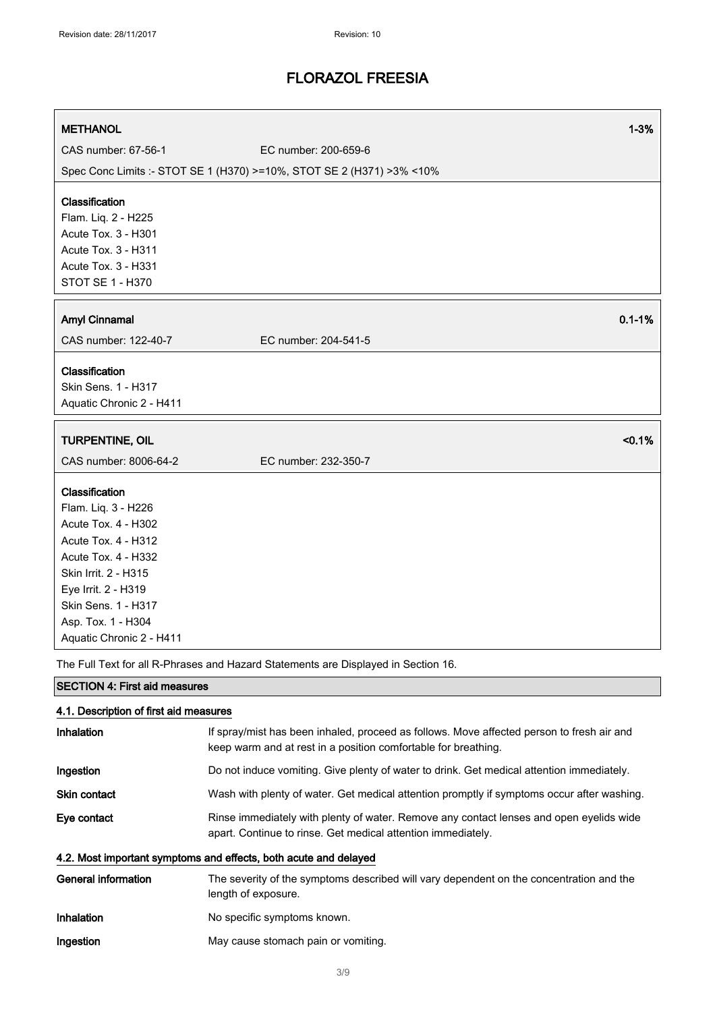| <b>METHANOL</b>                                                       | $1 - 3%$                                                                           |
|-----------------------------------------------------------------------|------------------------------------------------------------------------------------|
| CAS number: 67-56-1                                                   | EC number: 200-659-6                                                               |
| Spec Conc Limits :- STOT SE 1 (H370) >=10%, STOT SE 2 (H371) >3% <10% |                                                                                    |
|                                                                       |                                                                                    |
| Classification                                                        |                                                                                    |
| Flam. Liq. 2 - H225                                                   |                                                                                    |
| Acute Tox. 3 - H301                                                   |                                                                                    |
| Acute Tox. 3 - H311                                                   |                                                                                    |
| Acute Tox. 3 - H331                                                   |                                                                                    |
| STOT SE 1 - H370                                                      |                                                                                    |
| <b>Amyl Cinnamal</b>                                                  | $0.1 - 1%$                                                                         |
| CAS number: 122-40-7                                                  | EC number: 204-541-5                                                               |
|                                                                       |                                                                                    |
| Classification                                                        |                                                                                    |
| Skin Sens. 1 - H317                                                   |                                                                                    |
| Aquatic Chronic 2 - H411                                              |                                                                                    |
| TURPENTINE, OIL                                                       | < 0.1%                                                                             |
| CAS number: 8006-64-2                                                 | EC number: 232-350-7                                                               |
|                                                                       |                                                                                    |
| Classification                                                        |                                                                                    |
| Flam. Liq. 3 - H226                                                   |                                                                                    |
| Acute Tox. 4 - H302                                                   |                                                                                    |
| Acute Tox. 4 - H312                                                   |                                                                                    |
| Acute Tox. 4 - H332                                                   |                                                                                    |
| Skin Irrit. 2 - H315                                                  |                                                                                    |
| Eye Irrit. 2 - H319                                                   |                                                                                    |
| Skin Sens. 1 - H317                                                   |                                                                                    |
| Asp. Tox. 1 - H304                                                    |                                                                                    |
| Aquatic Chronic 2 - H411                                              |                                                                                    |
|                                                                       | The Full Text for all R-Phrases and Hazard Statements are Displayed in Section 16. |
| <b>SECTION 4: First aid measures</b>                                  |                                                                                    |

| 4.1. Description of first aid measures                           |                                                                                                                                                             |  |
|------------------------------------------------------------------|-------------------------------------------------------------------------------------------------------------------------------------------------------------|--|
| Inhalation                                                       | If spray/mist has been inhaled, proceed as follows. Move affected person to fresh air and<br>keep warm and at rest in a position comfortable for breathing. |  |
| Ingestion                                                        | Do not induce vomiting. Give plenty of water to drink. Get medical attention immediately.                                                                   |  |
| <b>Skin contact</b>                                              | Wash with plenty of water. Get medical attention promptly if symptoms occur after washing.                                                                  |  |
| Eye contact                                                      | Rinse immediately with plenty of water. Remove any contact lenses and open eyelids wide<br>apart. Continue to rinse. Get medical attention immediately.     |  |
| 4.2. Most important symptoms and effects, both acute and delayed |                                                                                                                                                             |  |
| <b>General information</b>                                       | The severity of the symptoms described will vary dependent on the concentration and the<br>length of exposure.                                              |  |
| Inhalation                                                       | No specific symptoms known.                                                                                                                                 |  |
| Ingestion                                                        | May cause stomach pain or vomiting.                                                                                                                         |  |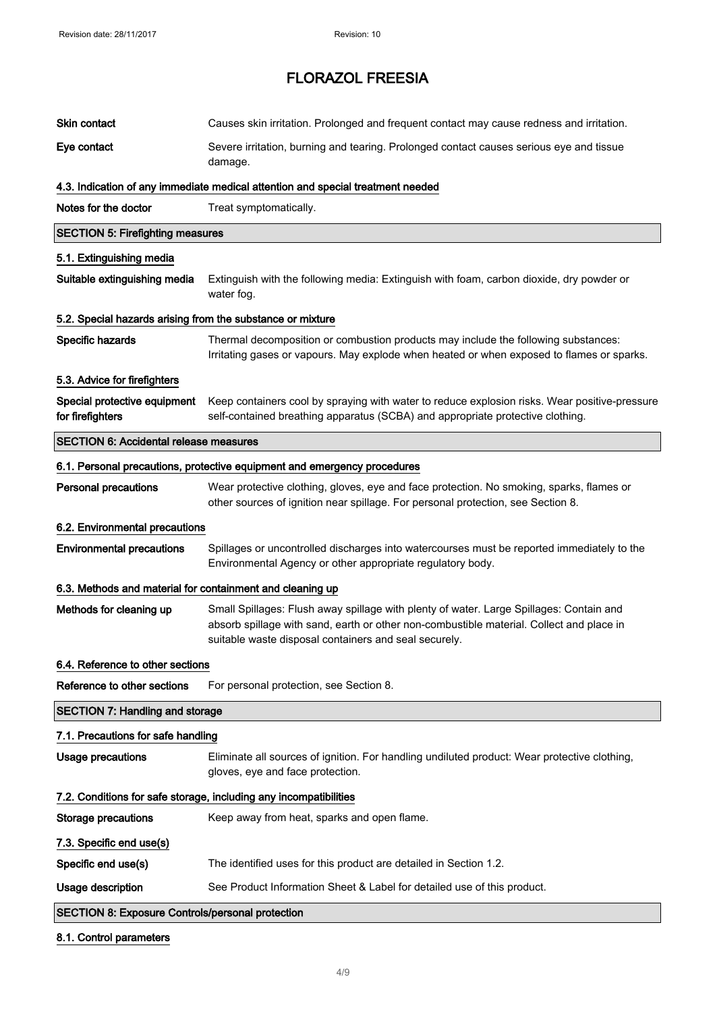| Skin contact                                               | Causes skin irritation. Prolonged and frequent contact may cause redness and irritation.                                                                                                                                                     |
|------------------------------------------------------------|----------------------------------------------------------------------------------------------------------------------------------------------------------------------------------------------------------------------------------------------|
| Eye contact                                                | Severe irritation, burning and tearing. Prolonged contact causes serious eye and tissue<br>damage.                                                                                                                                           |
|                                                            | 4.3. Indication of any immediate medical attention and special treatment needed                                                                                                                                                              |
| Notes for the doctor                                       | Treat symptomatically.                                                                                                                                                                                                                       |
| <b>SECTION 5: Firefighting measures</b>                    |                                                                                                                                                                                                                                              |
| 5.1. Extinguishing media                                   |                                                                                                                                                                                                                                              |
| Suitable extinguishing media                               | Extinguish with the following media: Extinguish with foam, carbon dioxide, dry powder or<br>water fog.                                                                                                                                       |
| 5.2. Special hazards arising from the substance or mixture |                                                                                                                                                                                                                                              |
| Specific hazards                                           | Thermal decomposition or combustion products may include the following substances:<br>Irritating gases or vapours. May explode when heated or when exposed to flames or sparks.                                                              |
| 5.3. Advice for firefighters                               |                                                                                                                                                                                                                                              |
| Special protective equipment<br>for firefighters           | Keep containers cool by spraying with water to reduce explosion risks. Wear positive-pressure<br>self-contained breathing apparatus (SCBA) and appropriate protective clothing.                                                              |
| <b>SECTION 6: Accidental release measures</b>              |                                                                                                                                                                                                                                              |
|                                                            | 6.1. Personal precautions, protective equipment and emergency procedures                                                                                                                                                                     |
| <b>Personal precautions</b>                                | Wear protective clothing, gloves, eye and face protection. No smoking, sparks, flames or<br>other sources of ignition near spillage. For personal protection, see Section 8.                                                                 |
| 6.2. Environmental precautions                             |                                                                                                                                                                                                                                              |
| <b>Environmental precautions</b>                           | Spillages or uncontrolled discharges into watercourses must be reported immediately to the<br>Environmental Agency or other appropriate regulatory body.                                                                                     |
| 6.3. Methods and material for containment and cleaning up  |                                                                                                                                                                                                                                              |
| Methods for cleaning up                                    | Small Spillages: Flush away spillage with plenty of water. Large Spillages: Contain and<br>absorb spillage with sand, earth or other non-combustible material. Collect and place in<br>suitable waste disposal containers and seal securely. |
| 6.4. Reference to other sections                           |                                                                                                                                                                                                                                              |
| Reference to other sections                                | For personal protection, see Section 8.                                                                                                                                                                                                      |
| <b>SECTION 7: Handling and storage</b>                     |                                                                                                                                                                                                                                              |
| 7.1. Precautions for safe handling                         |                                                                                                                                                                                                                                              |
| <b>Usage precautions</b>                                   | Eliminate all sources of ignition. For handling undiluted product: Wear protective clothing,<br>gloves, eye and face protection.                                                                                                             |
|                                                            | 7.2. Conditions for safe storage, including any incompatibilities                                                                                                                                                                            |
| <b>Storage precautions</b>                                 | Keep away from heat, sparks and open flame.                                                                                                                                                                                                  |
| 7.3. Specific end use(s)                                   |                                                                                                                                                                                                                                              |
| Specific end use(s)                                        | The identified uses for this product are detailed in Section 1.2.                                                                                                                                                                            |
| Usage description                                          | See Product Information Sheet & Label for detailed use of this product.                                                                                                                                                                      |
| <b>SECTION 8: Exposure Controls/personal protection</b>    |                                                                                                                                                                                                                                              |

### 8.1. Control parameters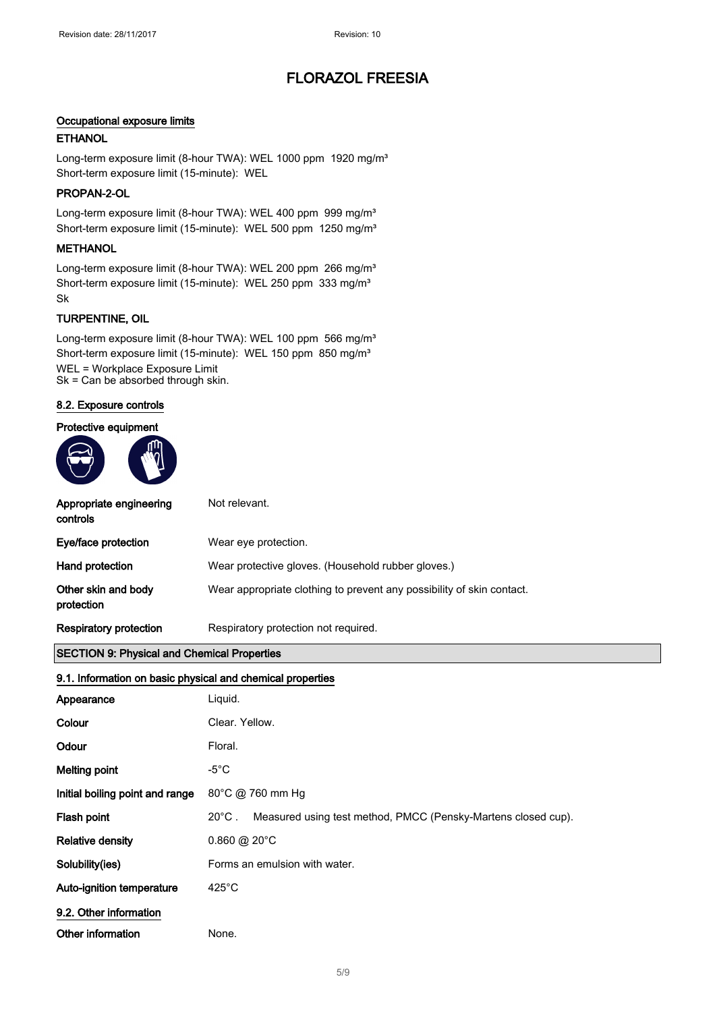#### Occupational exposure limits

#### **ETHANOL**

Long-term exposure limit (8-hour TWA): WEL 1000 ppm 1920 mg/m<sup>3</sup> Short-term exposure limit (15-minute): WEL

#### PROPAN-2-OL

Long-term exposure limit (8-hour TWA): WEL 400 ppm 999 mg/m<sup>3</sup> Short-term exposure limit (15-minute): WEL 500 ppm 1250 mg/m<sup>3</sup>

#### **METHANOL**

Long-term exposure limit (8-hour TWA): WEL 200 ppm 266 mg/m<sup>3</sup> Short-term exposure limit (15-minute): WEL 250 ppm 333 mg/m<sup>3</sup> Sk

#### TURPENTINE, OIL

Long-term exposure limit (8-hour TWA): WEL 100 ppm 566 mg/m<sup>3</sup> Short-term exposure limit (15-minute): WEL 150 ppm 850 mg/m<sup>3</sup> WEL = Workplace Exposure Limit Sk = Can be absorbed through skin.

#### 8.2. Exposure controls





| Appropriate engineering<br>controls | Not relevant.                                                         |
|-------------------------------------|-----------------------------------------------------------------------|
| Eye/face protection                 | Wear eye protection.                                                  |
| Hand protection                     | Wear protective gloves. (Household rubber gloves.)                    |
| Other skin and body<br>protection   | Wear appropriate clothing to prevent any possibility of skin contact. |
| <b>Respiratory protection</b>       | Respiratory protection not required.                                  |

#### SECTION 9: Physical and Chemical Properties

#### 9.1. Information on basic physical and chemical properties

| Appearance                      | Liquid.                                                                          |  |
|---------------------------------|----------------------------------------------------------------------------------|--|
| Colour                          | Clear, Yellow.                                                                   |  |
| Odour                           | Floral.                                                                          |  |
| <b>Melting point</b>            | -5 $^{\circ}$ C                                                                  |  |
| Initial boiling point and range | 80°C @ 760 mm Hg                                                                 |  |
| Flash point                     | $20^{\circ}$ C.<br>Measured using test method, PMCC (Pensky-Martens closed cup). |  |
| <b>Relative density</b>         | $0.860 \ @ 20^{\circ}$ C                                                         |  |
| Solubility(ies)                 | Forms an emulsion with water.                                                    |  |
| Auto-ignition temperature       | $425^{\circ}$ C                                                                  |  |
| 9.2. Other information          |                                                                                  |  |
| Other information               | None.                                                                            |  |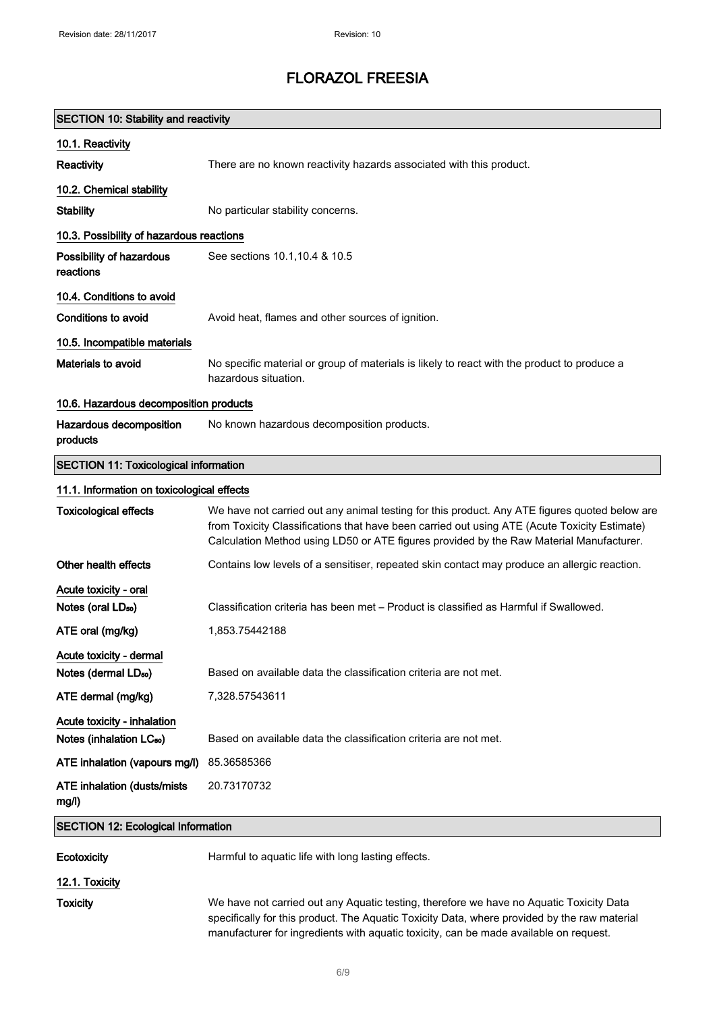| <b>SECTION 10: Stability and reactivity</b>                         |                                                                                                                                                                                                                                                                                          |  |
|---------------------------------------------------------------------|------------------------------------------------------------------------------------------------------------------------------------------------------------------------------------------------------------------------------------------------------------------------------------------|--|
| 10.1. Reactivity                                                    |                                                                                                                                                                                                                                                                                          |  |
| Reactivity                                                          | There are no known reactivity hazards associated with this product.                                                                                                                                                                                                                      |  |
| 10.2. Chemical stability                                            |                                                                                                                                                                                                                                                                                          |  |
| <b>Stability</b>                                                    | No particular stability concerns.                                                                                                                                                                                                                                                        |  |
| 10.3. Possibility of hazardous reactions                            |                                                                                                                                                                                                                                                                                          |  |
| Possibility of hazardous<br>reactions                               | See sections 10.1, 10.4 & 10.5                                                                                                                                                                                                                                                           |  |
| 10.4. Conditions to avoid                                           |                                                                                                                                                                                                                                                                                          |  |
| Conditions to avoid                                                 | Avoid heat, flames and other sources of ignition.                                                                                                                                                                                                                                        |  |
| 10.5. Incompatible materials                                        |                                                                                                                                                                                                                                                                                          |  |
| Materials to avoid                                                  | No specific material or group of materials is likely to react with the product to produce a<br>hazardous situation.                                                                                                                                                                      |  |
| 10.6. Hazardous decomposition products                              |                                                                                                                                                                                                                                                                                          |  |
| Hazardous decomposition<br>products                                 | No known hazardous decomposition products.                                                                                                                                                                                                                                               |  |
| <b>SECTION 11: Toxicological information</b>                        |                                                                                                                                                                                                                                                                                          |  |
| 11.1. Information on toxicological effects                          |                                                                                                                                                                                                                                                                                          |  |
| <b>Toxicological effects</b>                                        | We have not carried out any animal testing for this product. Any ATE figures quoted below are<br>from Toxicity Classifications that have been carried out using ATE (Acute Toxicity Estimate)<br>Calculation Method using LD50 or ATE figures provided by the Raw Material Manufacturer. |  |
| Other health effects                                                | Contains low levels of a sensitiser, repeated skin contact may produce an allergic reaction.                                                                                                                                                                                             |  |
| Acute toxicity - oral                                               |                                                                                                                                                                                                                                                                                          |  |
| Notes (oral LD <sub>50</sub> )                                      | Classification criteria has been met – Product is classified as Harmful if Swallowed.                                                                                                                                                                                                    |  |
| ATE oral (mg/kg)                                                    | 1,853.75442188                                                                                                                                                                                                                                                                           |  |
| Acute toxicity - dermal                                             |                                                                                                                                                                                                                                                                                          |  |
| Notes (dermal LD <sub>50</sub> )                                    | Based on available data the classification criteria are not met.                                                                                                                                                                                                                         |  |
| ATE dermal (mg/kg)                                                  | 7,328.57543611                                                                                                                                                                                                                                                                           |  |
| Acute toxicity - inhalation<br>Notes (inhalation LC <sub>50</sub> ) | Based on available data the classification criteria are not met.                                                                                                                                                                                                                         |  |
| ATE inhalation (vapours mg/l)                                       | 85.36585366                                                                                                                                                                                                                                                                              |  |
| <b>ATE inhalation (dusts/mists)</b><br>mg/l)                        | 20.73170732                                                                                                                                                                                                                                                                              |  |
| <b>SECTION 12: Ecological Information</b>                           |                                                                                                                                                                                                                                                                                          |  |
| Ecotoxicity                                                         | Harmful to aquatic life with long lasting effects.                                                                                                                                                                                                                                       |  |
| 12.1. Toxicity                                                      |                                                                                                                                                                                                                                                                                          |  |
| <b>Toxicity</b>                                                     | We have not carried out any Aquatic testing, therefore we have no Aquatic Toxicity Data<br>specifically for this product. The Aquatic Toxicity Data, where provided by the raw material<br>manufacturer for ingredients with aquatic toxicity, can be made available on request.         |  |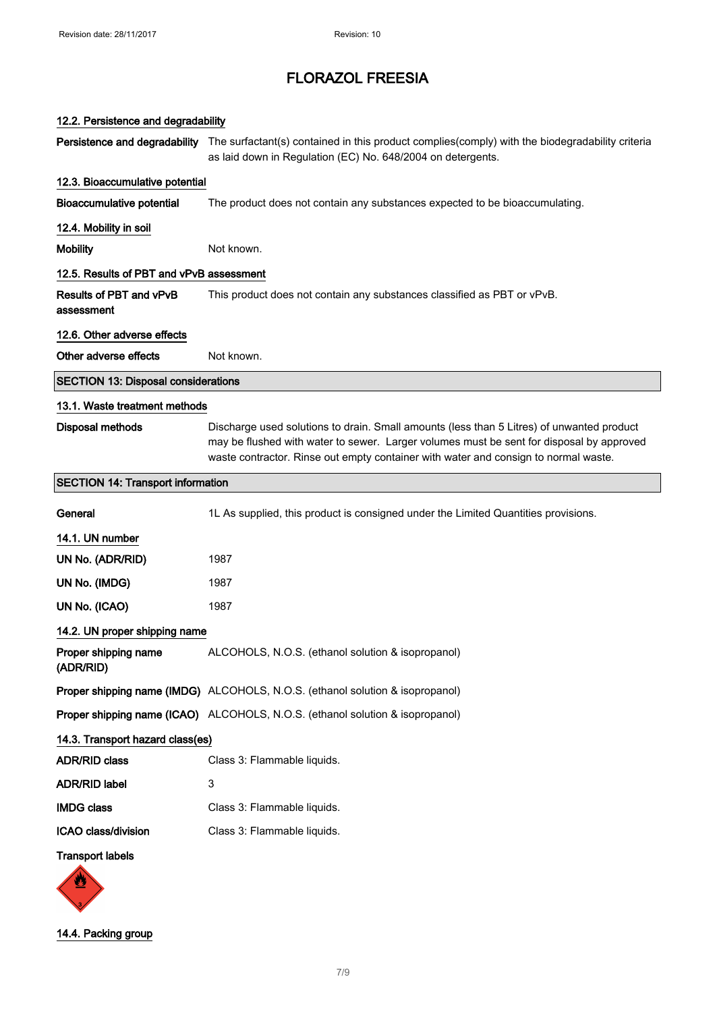| 12.2. Persistence and degradability          |                                                                                                                                                                                                                                                                              |
|----------------------------------------------|------------------------------------------------------------------------------------------------------------------------------------------------------------------------------------------------------------------------------------------------------------------------------|
|                                              | Persistence and degradability The surfactant(s) contained in this product complies(comply) with the biodegradability criteria<br>as laid down in Regulation (EC) No. 648/2004 on detergents.                                                                                 |
| 12.3. Bioaccumulative potential              |                                                                                                                                                                                                                                                                              |
| <b>Bioaccumulative potential</b>             | The product does not contain any substances expected to be bioaccumulating.                                                                                                                                                                                                  |
| 12.4. Mobility in soil                       |                                                                                                                                                                                                                                                                              |
| <b>Mobility</b>                              | Not known.                                                                                                                                                                                                                                                                   |
| 12.5. Results of PBT and vPvB assessment     |                                                                                                                                                                                                                                                                              |
| <b>Results of PBT and vPvB</b><br>assessment | This product does not contain any substances classified as PBT or vPvB.                                                                                                                                                                                                      |
| 12.6. Other adverse effects                  |                                                                                                                                                                                                                                                                              |
| Other adverse effects                        | Not known.                                                                                                                                                                                                                                                                   |
| <b>SECTION 13: Disposal considerations</b>   |                                                                                                                                                                                                                                                                              |
| 13.1. Waste treatment methods                |                                                                                                                                                                                                                                                                              |
| Disposal methods                             | Discharge used solutions to drain. Small amounts (less than 5 Litres) of unwanted product<br>may be flushed with water to sewer. Larger volumes must be sent for disposal by approved<br>waste contractor. Rinse out empty container with water and consign to normal waste. |
| <b>SECTION 14: Transport information</b>     |                                                                                                                                                                                                                                                                              |
| General                                      | 1L As supplied, this product is consigned under the Limited Quantities provisions.                                                                                                                                                                                           |
| 14.1. UN number                              |                                                                                                                                                                                                                                                                              |
| UN No. (ADR/RID)                             | 1987                                                                                                                                                                                                                                                                         |
| UN No. (IMDG)                                | 1987                                                                                                                                                                                                                                                                         |
| UN No. (ICAO)                                | 1987                                                                                                                                                                                                                                                                         |
| 14.2. UN proper shipping name                |                                                                                                                                                                                                                                                                              |
| Proper shipping name<br>(ADR/RID)            | ALCOHOLS, N.O.S. (ethanol solution & isopropanol)                                                                                                                                                                                                                            |
|                                              | Proper shipping name (IMDG) ALCOHOLS, N.O.S. (ethanol solution & isopropanol)                                                                                                                                                                                                |
|                                              | Proper shipping name (ICAO) ALCOHOLS, N.O.S. (ethanol solution & isopropanol)                                                                                                                                                                                                |
| 14.3. Transport hazard class(es)             |                                                                                                                                                                                                                                                                              |
| <b>ADR/RID class</b>                         | Class 3: Flammable liquids.                                                                                                                                                                                                                                                  |
| <b>ADR/RID label</b>                         | 3                                                                                                                                                                                                                                                                            |
| <b>IMDG class</b>                            | Class 3: Flammable liquids.                                                                                                                                                                                                                                                  |
| ICAO class/division                          | Class 3: Flammable liquids.                                                                                                                                                                                                                                                  |
| <b>Transport labels</b>                      |                                                                                                                                                                                                                                                                              |
|                                              |                                                                                                                                                                                                                                                                              |

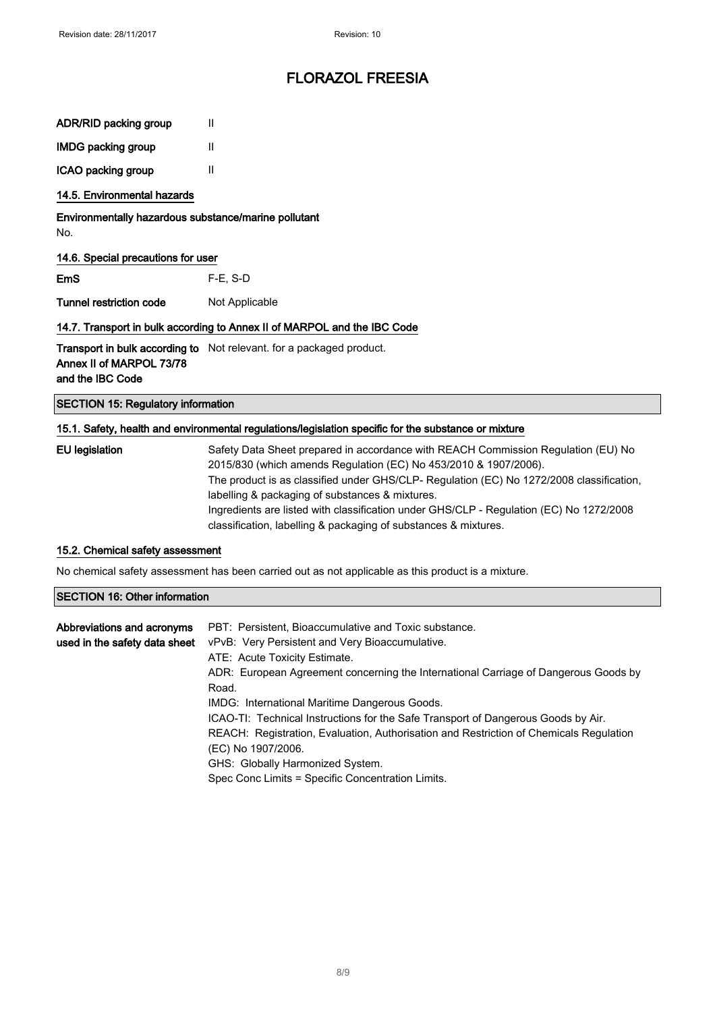| ADR/RID packing group |  |  |  |
|-----------------------|--|--|--|
|-----------------------|--|--|--|

IMDG packing group II

ICAO packing group II

#### 14.5. Environmental hazards

Environmentally hazardous substance/marine pollutant No.

#### 14.6. Special precautions for user

EmS F-E, S-D

Tunnel restriction code Not Applicable

#### 14.7. Transport in bulk according to Annex II of MARPOL and the IBC Code

**Transport in bulk according to** Not relevant. for a packaged product. Annex II of MARPOL 73/78 and the IBC Code

SECTION 15: Regulatory information

#### 15.1. Safety, health and environmental regulations/legislation specific for the substance or mixture

| EU legislation | Safety Data Sheet prepared in accordance with REACH Commission Regulation (EU) No        |
|----------------|------------------------------------------------------------------------------------------|
|                | 2015/830 (which amends Regulation (EC) No 453/2010 & 1907/2006).                         |
|                | The product is as classified under GHS/CLP- Regulation (EC) No 1272/2008 classification, |
|                | labelling & packaging of substances & mixtures.                                          |
|                | Ingredients are listed with classification under GHS/CLP - Regulation (EC) No 1272/2008  |
|                | classification, labelling & packaging of substances & mixtures.                          |

#### 15.2. Chemical safety assessment

No chemical safety assessment has been carried out as not applicable as this product is a mixture.

#### SECTION 16: Other information

| Abbreviations and acronyms    | PBT: Persistent, Bioaccumulative and Toxic substance.                                  |
|-------------------------------|----------------------------------------------------------------------------------------|
| used in the safety data sheet | vPvB: Very Persistent and Very Bioaccumulative.                                        |
|                               | ATE: Acute Toxicity Estimate.                                                          |
|                               | ADR: European Agreement concerning the International Carriage of Dangerous Goods by    |
|                               | Road.                                                                                  |
|                               | IMDG: International Maritime Dangerous Goods.                                          |
|                               | ICAO-TI: Technical Instructions for the Safe Transport of Dangerous Goods by Air.      |
|                               | REACH: Registration, Evaluation, Authorisation and Restriction of Chemicals Regulation |
|                               | (EC) No 1907/2006.                                                                     |
|                               | GHS: Globally Harmonized System.                                                       |
|                               | Spec Conc Limits = Specific Concentration Limits.                                      |